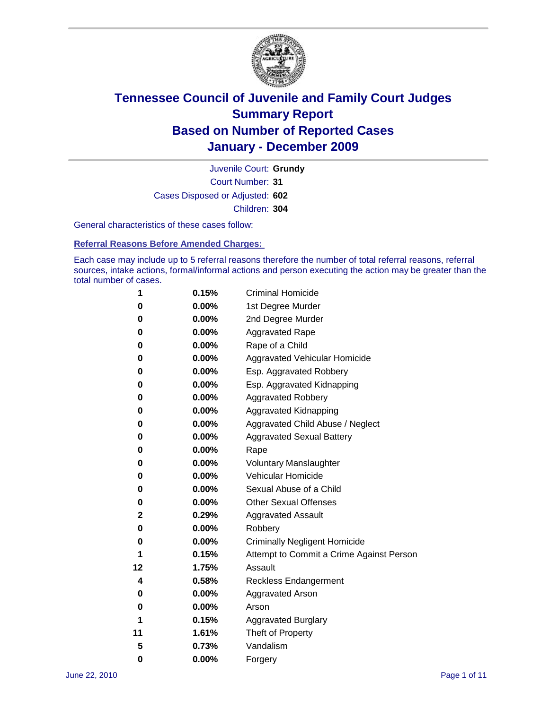

Court Number: **31** Juvenile Court: **Grundy** Cases Disposed or Adjusted: **602** Children: **304**

General characteristics of these cases follow:

**Referral Reasons Before Amended Charges:** 

Each case may include up to 5 referral reasons therefore the number of total referral reasons, referral sources, intake actions, formal/informal actions and person executing the action may be greater than the total number of cases.

| 1  | 0.15%    | <b>Criminal Homicide</b>                 |
|----|----------|------------------------------------------|
| 0  | 0.00%    | 1st Degree Murder                        |
| 0  | 0.00%    | 2nd Degree Murder                        |
| 0  | 0.00%    | <b>Aggravated Rape</b>                   |
| 0  | 0.00%    | Rape of a Child                          |
| 0  | 0.00%    | Aggravated Vehicular Homicide            |
| 0  | 0.00%    | Esp. Aggravated Robbery                  |
| 0  | 0.00%    | Esp. Aggravated Kidnapping               |
| 0  | 0.00%    | <b>Aggravated Robbery</b>                |
| 0  | 0.00%    | Aggravated Kidnapping                    |
| 0  | 0.00%    | Aggravated Child Abuse / Neglect         |
| 0  | $0.00\%$ | <b>Aggravated Sexual Battery</b>         |
| 0  | 0.00%    | Rape                                     |
| 0  | 0.00%    | <b>Voluntary Manslaughter</b>            |
| 0  | 0.00%    | Vehicular Homicide                       |
| 0  | 0.00%    | Sexual Abuse of a Child                  |
| 0  | 0.00%    | <b>Other Sexual Offenses</b>             |
| 2  | 0.29%    | <b>Aggravated Assault</b>                |
| 0  | $0.00\%$ | Robbery                                  |
| 0  | 0.00%    | <b>Criminally Negligent Homicide</b>     |
| 1  | 0.15%    | Attempt to Commit a Crime Against Person |
| 12 | 1.75%    | Assault                                  |
| 4  | 0.58%    | <b>Reckless Endangerment</b>             |
| 0  | 0.00%    | <b>Aggravated Arson</b>                  |
| 0  | 0.00%    | Arson                                    |
| 1  | 0.15%    | <b>Aggravated Burglary</b>               |
| 11 | 1.61%    | Theft of Property                        |
| 5  | 0.73%    | Vandalism                                |
| 0  | 0.00%    | Forgery                                  |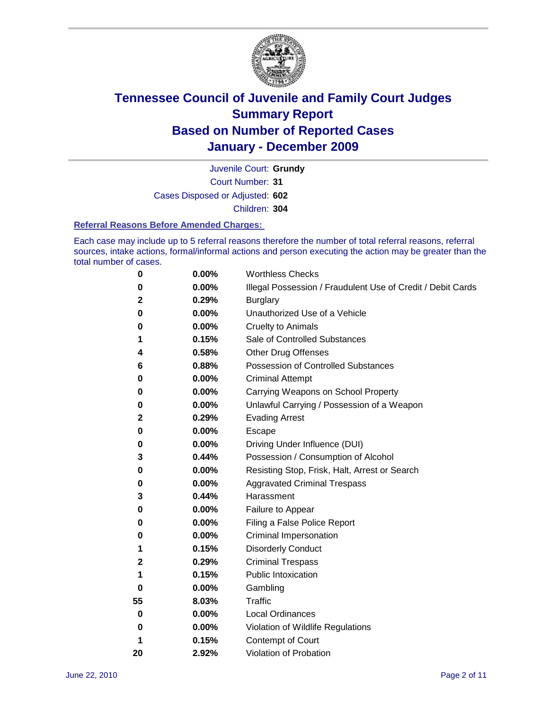

Court Number: **31** Juvenile Court: **Grundy** Cases Disposed or Adjusted: **602** Children: **304**

#### **Referral Reasons Before Amended Charges:**

Each case may include up to 5 referral reasons therefore the number of total referral reasons, referral sources, intake actions, formal/informal actions and person executing the action may be greater than the total number of cases.

| 0  | 0.00% | <b>Worthless Checks</b>                                     |
|----|-------|-------------------------------------------------------------|
| 0  | 0.00% | Illegal Possession / Fraudulent Use of Credit / Debit Cards |
| 2  | 0.29% | <b>Burglary</b>                                             |
| 0  | 0.00% | Unauthorized Use of a Vehicle                               |
| 0  | 0.00% | <b>Cruelty to Animals</b>                                   |
| 1  | 0.15% | Sale of Controlled Substances                               |
| 4  | 0.58% | <b>Other Drug Offenses</b>                                  |
| 6  | 0.88% | <b>Possession of Controlled Substances</b>                  |
| 0  | 0.00% | <b>Criminal Attempt</b>                                     |
| 0  | 0.00% | Carrying Weapons on School Property                         |
| 0  | 0.00% | Unlawful Carrying / Possession of a Weapon                  |
| 2  | 0.29% | <b>Evading Arrest</b>                                       |
| 0  | 0.00% | Escape                                                      |
| 0  | 0.00% | Driving Under Influence (DUI)                               |
| 3  | 0.44% | Possession / Consumption of Alcohol                         |
| 0  | 0.00% | Resisting Stop, Frisk, Halt, Arrest or Search               |
| 0  | 0.00% | <b>Aggravated Criminal Trespass</b>                         |
| 3  | 0.44% | Harassment                                                  |
| 0  | 0.00% | Failure to Appear                                           |
| 0  | 0.00% | Filing a False Police Report                                |
| 0  | 0.00% | Criminal Impersonation                                      |
| 1  | 0.15% | <b>Disorderly Conduct</b>                                   |
| 2  | 0.29% | <b>Criminal Trespass</b>                                    |
| 1  | 0.15% | <b>Public Intoxication</b>                                  |
| 0  | 0.00% | Gambling                                                    |
| 55 | 8.03% | <b>Traffic</b>                                              |
| 0  | 0.00% | <b>Local Ordinances</b>                                     |
| 0  | 0.00% | Violation of Wildlife Regulations                           |
| 1  | 0.15% | Contempt of Court                                           |
| 20 | 2.92% | Violation of Probation                                      |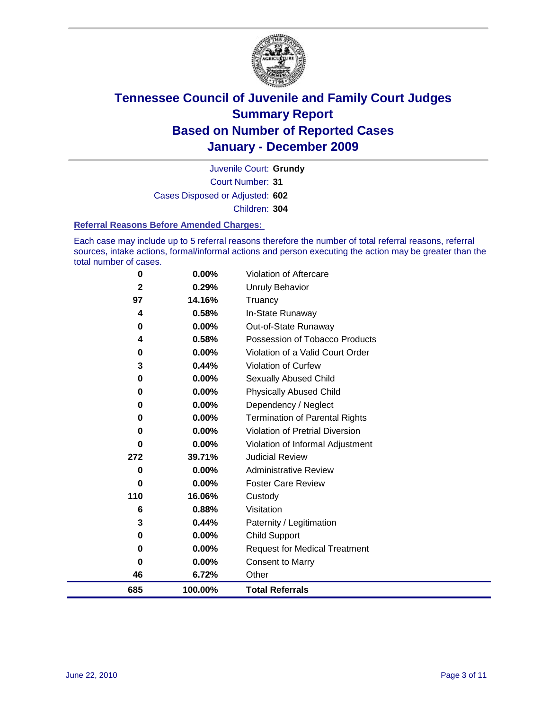

Court Number: **31** Juvenile Court: **Grundy** Cases Disposed or Adjusted: **602** Children: **304**

#### **Referral Reasons Before Amended Charges:**

Each case may include up to 5 referral reasons therefore the number of total referral reasons, referral sources, intake actions, formal/informal actions and person executing the action may be greater than the total number of cases.

| 0                       | 0.00%    | Violation of Aftercare                 |
|-------------------------|----------|----------------------------------------|
| $\overline{\mathbf{2}}$ | 0.29%    | Unruly Behavior                        |
| 97                      | 14.16%   | Truancy                                |
| 4                       | 0.58%    | In-State Runaway                       |
| 0                       | $0.00\%$ | Out-of-State Runaway                   |
| 4                       | 0.58%    | Possession of Tobacco Products         |
| $\bf{0}$                | $0.00\%$ | Violation of a Valid Court Order       |
| 3                       | 0.44%    | <b>Violation of Curfew</b>             |
| $\mathbf 0$             | 0.00%    | <b>Sexually Abused Child</b>           |
| 0                       | 0.00%    | <b>Physically Abused Child</b>         |
| 0                       | 0.00%    | Dependency / Neglect                   |
| 0                       | 0.00%    | <b>Termination of Parental Rights</b>  |
| 0                       | 0.00%    | <b>Violation of Pretrial Diversion</b> |
| 0                       | 0.00%    | Violation of Informal Adjustment       |
| 272                     | 39.71%   | <b>Judicial Review</b>                 |
| 0                       | 0.00%    | <b>Administrative Review</b>           |
| 0                       | $0.00\%$ | <b>Foster Care Review</b>              |
| 110                     | 16.06%   | Custody                                |
| 6                       | 0.88%    | Visitation                             |
| 3                       | 0.44%    | Paternity / Legitimation               |
| 0                       | 0.00%    | <b>Child Support</b>                   |
| 0                       | 0.00%    | <b>Request for Medical Treatment</b>   |
| 0                       | 0.00%    | <b>Consent to Marry</b>                |
| 46                      | 6.72%    | Other                                  |
| 685                     | 100.00%  | <b>Total Referrals</b>                 |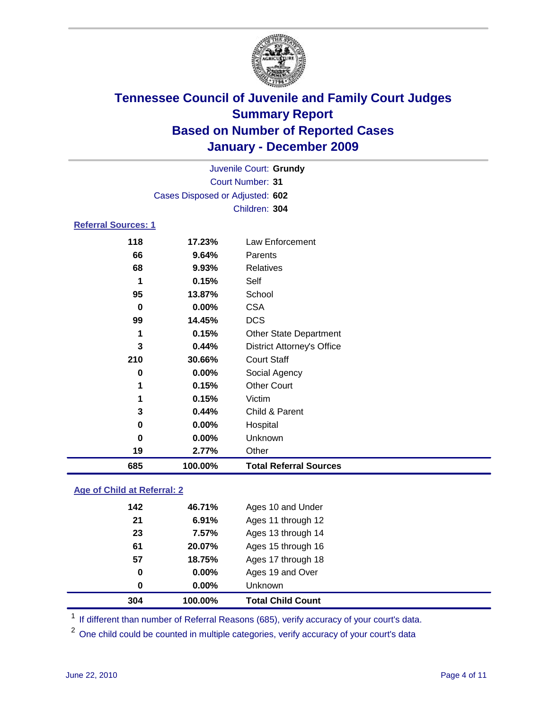

|                            |                                 | Juvenile Court: Grundy            |  |
|----------------------------|---------------------------------|-----------------------------------|--|
|                            |                                 | Court Number: 31                  |  |
|                            | Cases Disposed or Adjusted: 602 |                                   |  |
|                            |                                 | Children: 304                     |  |
| <b>Referral Sources: 1</b> |                                 |                                   |  |
| 118                        | 17.23%                          | Law Enforcement                   |  |
| 66                         | 9.64%                           | Parents                           |  |
| 68                         | 9.93%                           | Relatives                         |  |
| 1                          | 0.15%                           | Self                              |  |
| 95                         | 13.87%                          | School                            |  |
| 0                          | 0.00%                           | <b>CSA</b>                        |  |
| 99                         | 14.45%                          | <b>DCS</b>                        |  |
| 1                          | 0.15%                           | <b>Other State Department</b>     |  |
| 3                          | 0.44%                           | <b>District Attorney's Office</b> |  |
| 210                        | 30.66%                          | <b>Court Staff</b>                |  |
| 0                          | 0.00%                           | Social Agency                     |  |
| 1                          | 0.15%                           | <b>Other Court</b>                |  |
| 1                          | 0.15%                           | Victim                            |  |
| 3                          | 0.44%                           | Child & Parent                    |  |
| 0                          | 0.00%                           | Hospital                          |  |
| 0                          | 0.00%                           | Unknown                           |  |
| 19                         | 2.77%                           | Other                             |  |
| 685                        | 100.00%                         | <b>Total Referral Sources</b>     |  |

### **Age of Child at Referral: 2**

| 0   | 0.00%  | Unknown            |
|-----|--------|--------------------|
|     |        |                    |
| 0   | 0.00%  | Ages 19 and Over   |
| 57  | 18.75% | Ages 17 through 18 |
| 61  | 20.07% | Ages 15 through 16 |
| 23  | 7.57%  | Ages 13 through 14 |
| 21  | 6.91%  | Ages 11 through 12 |
| 142 | 46.71% | Ages 10 and Under  |
|     |        |                    |

<sup>1</sup> If different than number of Referral Reasons (685), verify accuracy of your court's data.

One child could be counted in multiple categories, verify accuracy of your court's data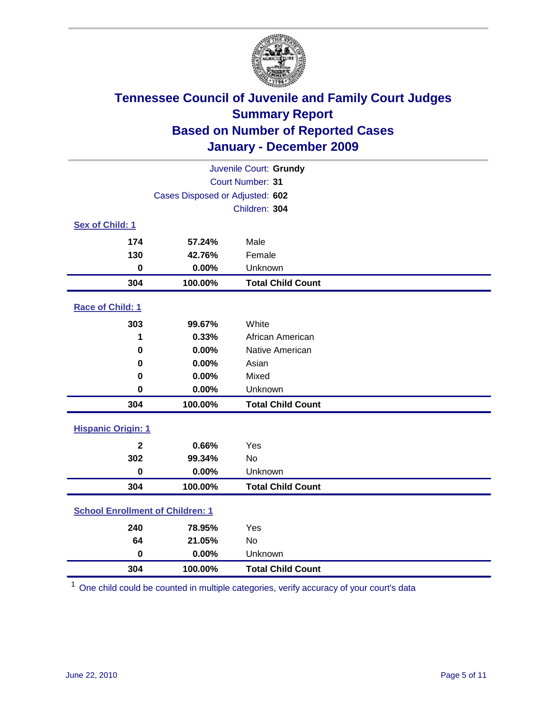

| Juvenile Court: Grundy                  |                                 |                          |  |  |  |
|-----------------------------------------|---------------------------------|--------------------------|--|--|--|
|                                         | <b>Court Number: 31</b>         |                          |  |  |  |
|                                         | Cases Disposed or Adjusted: 602 |                          |  |  |  |
|                                         |                                 | Children: 304            |  |  |  |
| Sex of Child: 1                         |                                 |                          |  |  |  |
| 174                                     | 57.24%                          | Male                     |  |  |  |
| 130                                     | 42.76%                          | Female                   |  |  |  |
| $\mathbf 0$                             | 0.00%                           | Unknown                  |  |  |  |
| 304                                     | 100.00%                         | <b>Total Child Count</b> |  |  |  |
| Race of Child: 1                        |                                 |                          |  |  |  |
| 303                                     | 99.67%                          | White                    |  |  |  |
| 1                                       | 0.33%                           | African American         |  |  |  |
| 0                                       | 0.00%                           | Native American          |  |  |  |
| 0                                       | 0.00%                           | Asian                    |  |  |  |
| 0                                       | 0.00%                           | Mixed                    |  |  |  |
| $\mathbf 0$                             | 0.00%                           | Unknown                  |  |  |  |
| 304                                     | 100.00%                         | <b>Total Child Count</b> |  |  |  |
| <b>Hispanic Origin: 1</b>               |                                 |                          |  |  |  |
| $\mathbf{2}$                            | 0.66%                           | Yes                      |  |  |  |
| 302                                     | 99.34%                          | <b>No</b>                |  |  |  |
| $\mathbf 0$                             | 0.00%                           | Unknown                  |  |  |  |
| 304                                     | 100.00%                         | <b>Total Child Count</b> |  |  |  |
| <b>School Enrollment of Children: 1</b> |                                 |                          |  |  |  |
| 240                                     | 78.95%                          | Yes                      |  |  |  |
| 64                                      | 21.05%                          | No                       |  |  |  |
| $\mathbf 0$                             | 0.00%                           | Unknown                  |  |  |  |
| 304                                     | 100.00%                         | <b>Total Child Count</b> |  |  |  |

One child could be counted in multiple categories, verify accuracy of your court's data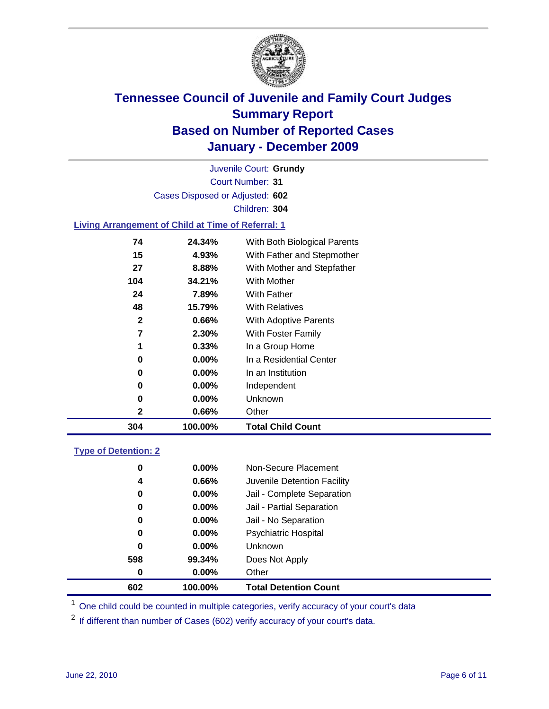

Court Number: **31** Juvenile Court: **Grundy** Cases Disposed or Adjusted: **602** Children: **304**

### **Living Arrangement of Child at Time of Referral: 1**

| 304          | 100.00%  | <b>Total Child Count</b>     |
|--------------|----------|------------------------------|
| 2            | 0.66%    | Other                        |
| 0            | $0.00\%$ | Unknown                      |
| 0            | $0.00\%$ | Independent                  |
| 0            | $0.00\%$ | In an Institution            |
| 0            | $0.00\%$ | In a Residential Center      |
| 1            | 0.33%    | In a Group Home              |
| 7            | 2.30%    | With Foster Family           |
| $\mathbf{2}$ | 0.66%    | With Adoptive Parents        |
| 48           | 15.79%   | <b>With Relatives</b>        |
| 24           | 7.89%    | With Father                  |
| 104          | 34.21%   | With Mother                  |
| 27           | 8.88%    | With Mother and Stepfather   |
| 15           | 4.93%    | With Father and Stepmother   |
| 74           | 24.34%   | With Both Biological Parents |
|              |          |                              |

### **Type of Detention: 2**

| 602 | 100.00%  | <b>Total Detention Count</b> |  |
|-----|----------|------------------------------|--|
| 0   | 0.00%    | Other                        |  |
| 598 | 99.34%   | Does Not Apply               |  |
| 0   | $0.00\%$ | <b>Unknown</b>               |  |
| 0   | $0.00\%$ | <b>Psychiatric Hospital</b>  |  |
| 0   | 0.00%    | Jail - No Separation         |  |
| 0   | $0.00\%$ | Jail - Partial Separation    |  |
| 0   | $0.00\%$ | Jail - Complete Separation   |  |
| 4   | 0.66%    | Juvenile Detention Facility  |  |
| 0   | $0.00\%$ | Non-Secure Placement         |  |
|     |          |                              |  |

<sup>1</sup> One child could be counted in multiple categories, verify accuracy of your court's data

<sup>2</sup> If different than number of Cases (602) verify accuracy of your court's data.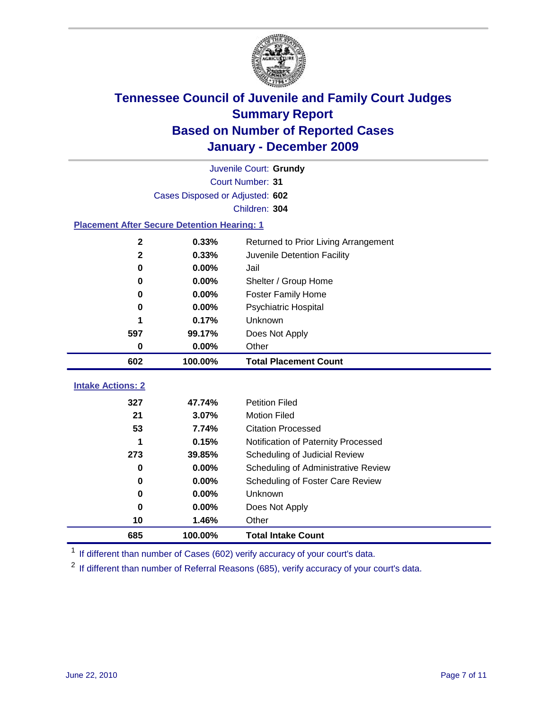

|                                                    | Juvenile Court: Grundy          |                                      |  |  |  |
|----------------------------------------------------|---------------------------------|--------------------------------------|--|--|--|
|                                                    | Court Number: 31                |                                      |  |  |  |
|                                                    | Cases Disposed or Adjusted: 602 |                                      |  |  |  |
|                                                    |                                 | Children: 304                        |  |  |  |
| <b>Placement After Secure Detention Hearing: 1</b> |                                 |                                      |  |  |  |
| $\mathbf{2}$                                       | 0.33%                           | Returned to Prior Living Arrangement |  |  |  |
| $\mathbf{2}$                                       | 0.33%                           | Juvenile Detention Facility          |  |  |  |
| $\bf{0}$                                           | 0.00%                           | Jail                                 |  |  |  |
| $\bf{0}$                                           | 0.00%                           | Shelter / Group Home                 |  |  |  |
| 0                                                  | 0.00%                           | <b>Foster Family Home</b>            |  |  |  |
| $\bf{0}$                                           | 0.00%                           | Psychiatric Hospital                 |  |  |  |
|                                                    | 0.17%                           | Unknown                              |  |  |  |
| 597                                                | 99.17%                          | Does Not Apply                       |  |  |  |
| $\pmb{0}$                                          | 0.00%                           | Other                                |  |  |  |
| 602                                                | 100.00%                         | <b>Total Placement Count</b>         |  |  |  |
|                                                    |                                 |                                      |  |  |  |
| <b>Intake Actions: 2</b>                           |                                 |                                      |  |  |  |
| 327                                                | 47.74%                          | <b>Petition Filed</b>                |  |  |  |
| 21                                                 | 3.07%                           | <b>Motion Filed</b>                  |  |  |  |
| 53                                                 | 7.74%                           | <b>Citation Processed</b>            |  |  |  |
| 1                                                  | 0.15%                           | Notification of Paternity Processed  |  |  |  |
| 273                                                | 39.85%                          | Scheduling of Judicial Review        |  |  |  |
| 0                                                  | 0.00%                           | Scheduling of Administrative Review  |  |  |  |
| 0                                                  | 0.00%                           | Scheduling of Foster Care Review     |  |  |  |
| $\bf{0}$                                           | 0.00%                           | Unknown                              |  |  |  |
| $\bf{0}$                                           | 0.00%                           | Does Not Apply                       |  |  |  |
| 10                                                 | 1.46%                           | Other                                |  |  |  |
| 685                                                | 100.00%                         | <b>Total Intake Count</b>            |  |  |  |

<sup>1</sup> If different than number of Cases (602) verify accuracy of your court's data.

<sup>2</sup> If different than number of Referral Reasons (685), verify accuracy of your court's data.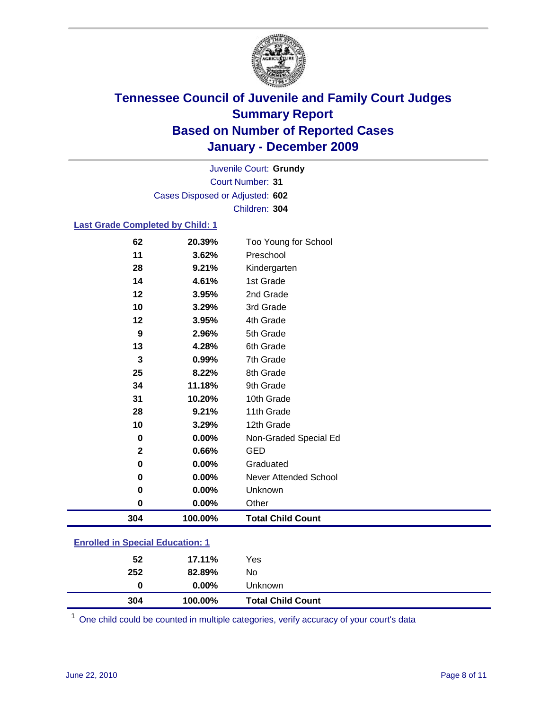

Court Number: **31** Juvenile Court: **Grundy** Cases Disposed or Adjusted: **602** Children: **304**

### **Last Grade Completed by Child: 1**

| 62                                      | 20.39%  | Too Young for School     |  |
|-----------------------------------------|---------|--------------------------|--|
| 11                                      | 3.62%   | Preschool                |  |
| 28                                      | 9.21%   | Kindergarten             |  |
| 14                                      | 4.61%   | 1st Grade                |  |
| 12                                      | 3.95%   | 2nd Grade                |  |
| 10                                      | 3.29%   | 3rd Grade                |  |
| 12                                      | 3.95%   | 4th Grade                |  |
| 9                                       | 2.96%   | 5th Grade                |  |
| 13                                      | 4.28%   | 6th Grade                |  |
| $\mathbf 3$                             | 0.99%   | 7th Grade                |  |
| 25                                      | 8.22%   | 8th Grade                |  |
| 34                                      | 11.18%  | 9th Grade                |  |
| 31                                      | 10.20%  | 10th Grade               |  |
| 28                                      | 9.21%   | 11th Grade               |  |
| 10                                      | 3.29%   | 12th Grade               |  |
| 0                                       | 0.00%   | Non-Graded Special Ed    |  |
| $\mathbf{2}$                            | 0.66%   | <b>GED</b>               |  |
| $\mathbf 0$                             | 0.00%   | Graduated                |  |
| $\mathbf 0$                             | 0.00%   | Never Attended School    |  |
| 0                                       | 0.00%   | Unknown                  |  |
| 0                                       | 0.00%   | Other                    |  |
| 304                                     | 100.00% | <b>Total Child Count</b> |  |
| <b>Enrolled in Special Education: 1</b> |         |                          |  |

| 304 | 100.00%  | <b>Total Child Count</b> |  |
|-----|----------|--------------------------|--|
| 0   | $0.00\%$ | <b>Unknown</b>           |  |
| 252 | 82.89%   | No.                      |  |
| 52  | 17.11%   | Yes                      |  |
|     |          |                          |  |

One child could be counted in multiple categories, verify accuracy of your court's data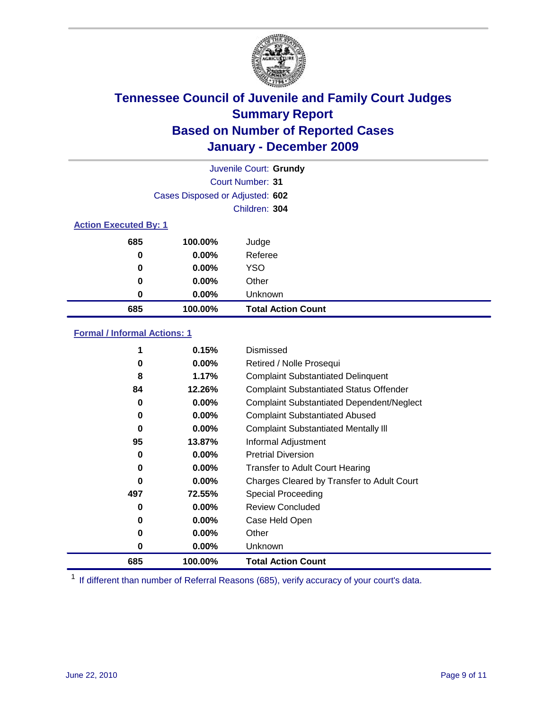

| Juvenile Court: Grundy       |                                 |                           |  |  |
|------------------------------|---------------------------------|---------------------------|--|--|
|                              | Court Number: 31                |                           |  |  |
|                              | Cases Disposed or Adjusted: 602 |                           |  |  |
|                              | Children: 304                   |                           |  |  |
| <b>Action Executed By: 1</b> |                                 |                           |  |  |
| 685                          | 100.00%                         | Judge                     |  |  |
| 0                            | 0.00%                           | Referee                   |  |  |
| 0                            | $0.00\%$                        | <b>YSO</b>                |  |  |
| 0                            | $0.00\%$                        | Other                     |  |  |
| 0                            | 0.00%                           | Unknown                   |  |  |
| 685                          | 100.00%                         | <b>Total Action Count</b> |  |  |

### **Formal / Informal Actions: 1**

|     | 0.15%    | <b>Dismissed</b>                                 |
|-----|----------|--------------------------------------------------|
| 0   | $0.00\%$ | Retired / Nolle Prosequi                         |
| 8   | 1.17%    | <b>Complaint Substantiated Delinquent</b>        |
| 84  | 12.26%   | <b>Complaint Substantiated Status Offender</b>   |
| 0   | $0.00\%$ | <b>Complaint Substantiated Dependent/Neglect</b> |
| 0   | 0.00%    | <b>Complaint Substantiated Abused</b>            |
| 0   | $0.00\%$ | <b>Complaint Substantiated Mentally III</b>      |
| 95  | 13.87%   | Informal Adjustment                              |
| 0   | $0.00\%$ | <b>Pretrial Diversion</b>                        |
| 0   | $0.00\%$ | <b>Transfer to Adult Court Hearing</b>           |
| 0   | $0.00\%$ | Charges Cleared by Transfer to Adult Court       |
| 497 | 72.55%   | Special Proceeding                               |
| 0   | 0.00%    | <b>Review Concluded</b>                          |
| 0   | $0.00\%$ | Case Held Open                                   |
| 0   | $0.00\%$ | Other                                            |
| 0   | $0.00\%$ | <b>Unknown</b>                                   |
| 685 | 100.00%  | <b>Total Action Count</b>                        |

<sup>1</sup> If different than number of Referral Reasons (685), verify accuracy of your court's data.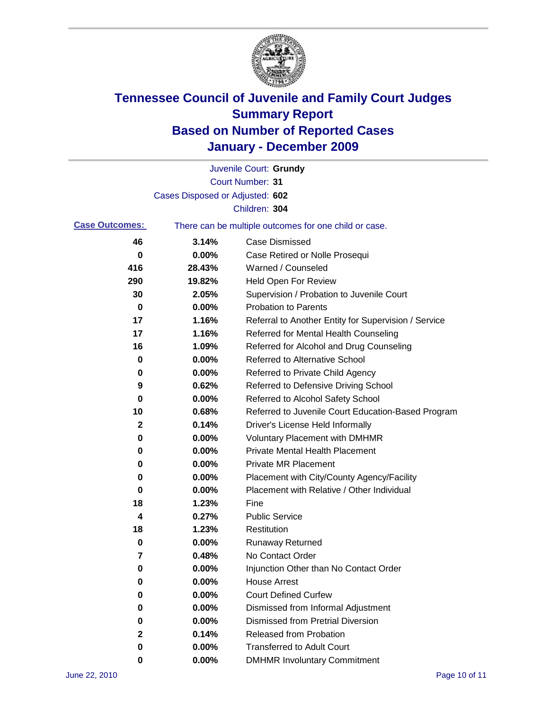

|                       |                                 | Juvenile Court: Grundy                                |
|-----------------------|---------------------------------|-------------------------------------------------------|
|                       |                                 | <b>Court Number: 31</b>                               |
|                       | Cases Disposed or Adjusted: 602 |                                                       |
|                       |                                 | Children: 304                                         |
| <b>Case Outcomes:</b> |                                 | There can be multiple outcomes for one child or case. |
| 46                    | 3.14%                           | <b>Case Dismissed</b>                                 |
| 0                     | 0.00%                           | Case Retired or Nolle Prosequi                        |
| 416                   | 28.43%                          | Warned / Counseled                                    |
| 290                   | 19.82%                          | <b>Held Open For Review</b>                           |
| 30                    | 2.05%                           | Supervision / Probation to Juvenile Court             |
| 0                     | 0.00%                           | <b>Probation to Parents</b>                           |
| 17                    | 1.16%                           | Referral to Another Entity for Supervision / Service  |
| 17                    | 1.16%                           | Referred for Mental Health Counseling                 |
| 16                    | 1.09%                           | Referred for Alcohol and Drug Counseling              |
| 0                     | 0.00%                           | <b>Referred to Alternative School</b>                 |
| 0                     | 0.00%                           | Referred to Private Child Agency                      |
| 9                     | 0.62%                           | Referred to Defensive Driving School                  |
| 0                     | 0.00%                           | Referred to Alcohol Safety School                     |
| 10                    | 0.68%                           | Referred to Juvenile Court Education-Based Program    |
| 2                     | 0.14%                           | Driver's License Held Informally                      |
| 0                     | 0.00%                           | <b>Voluntary Placement with DMHMR</b>                 |
| 0                     | 0.00%                           | <b>Private Mental Health Placement</b>                |
| 0                     | 0.00%                           | <b>Private MR Placement</b>                           |
| 0                     | 0.00%                           | Placement with City/County Agency/Facility            |
| 0                     | 0.00%                           | Placement with Relative / Other Individual            |
| 18                    | 1.23%                           | Fine                                                  |
| 4                     | 0.27%                           | <b>Public Service</b>                                 |
| 18                    | 1.23%                           | Restitution                                           |
| 0                     | 0.00%                           | <b>Runaway Returned</b>                               |
| 7                     | 0.48%                           | No Contact Order                                      |
| 0                     | 0.00%                           | Injunction Other than No Contact Order                |
| 0                     | 0.00%                           | <b>House Arrest</b>                                   |
| 0                     | 0.00%                           | <b>Court Defined Curfew</b>                           |
| 0                     | 0.00%                           | Dismissed from Informal Adjustment                    |
| 0                     | 0.00%                           | <b>Dismissed from Pretrial Diversion</b>              |
| 2                     | 0.14%                           | Released from Probation                               |
| 0                     | 0.00%                           | <b>Transferred to Adult Court</b>                     |
| 0                     | $0.00\%$                        | <b>DMHMR Involuntary Commitment</b>                   |